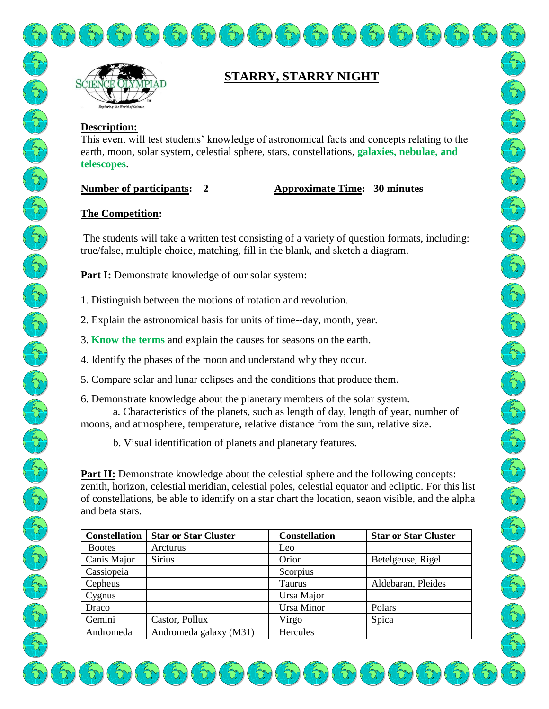

# **STARRY, STARRY NIGHT**

## **Description:**

This event will test students' knowledge of astronomical facts and concepts relating to the earth, moon, solar system, celestial sphere, stars, constellations, **galaxies, nebulae, and telescopes**.

# **Number of participants: 2 Approximate Time: 30 minutes**

# **The Competition:**

The students will take a written test consisting of a variety of question formats, including: true/false, multiple choice, matching, fill in the blank, and sketch a diagram.

Part I: Demonstrate knowledge of our solar system:

- 1. Distinguish between the motions of rotation and revolution.
- 2. Explain the astronomical basis for units of time--day, month, year.
- 3. **Know the terms** and explain the causes for seasons on the earth.
- 4. Identify the phases of the moon and understand why they occur.
- 5. Compare solar and lunar eclipses and the conditions that produce them.
- 6. Demonstrate knowledge about the planetary members of the solar system. a. Characteristics of the planets, such as length of day, length of year, number of moons, and atmosphere, temperature, relative distance from the sun, relative size.
	- b. Visual identification of planets and planetary features.

**Part II:** Demonstrate knowledge about the celestial sphere and the following concepts: zenith, horizon, celestial meridian, celestial poles, celestial equator and ecliptic. For this list of constellations, be able to identify on a star chart the location, seaon visible, and the alpha and beta stars.

| <b>Constellation</b> | <b>Star or Star Cluster</b> | <b>Constellation</b> | <b>Star or Star Cluster</b> |
|----------------------|-----------------------------|----------------------|-----------------------------|
| <b>Bootes</b>        | Arcturus                    | Leo                  |                             |
| Canis Major          | <b>Sirius</b>               | Orion                | Betelgeuse, Rigel           |
| Cassiopeia           |                             | Scorpius             |                             |
| Cepheus              |                             | Taurus               | Aldebaran, Pleides          |
| Cygnus               |                             | Ursa Major           |                             |
| Draco                |                             | Ursa Minor           | Polars                      |
| Gemini               | Castor, Pollux              | Virgo                | Spica                       |
| Andromeda            | Andromeda galaxy (M31)      | Hercules             |                             |